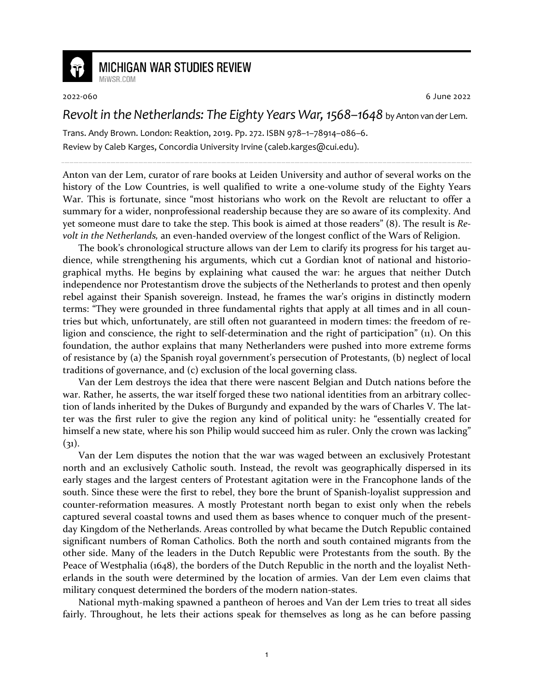

## **MICHIGAN WAR STUDIES REVIEW**

MiWSR COM

2022-060 6 June 2022

## *Revolt in the Netherlands: The Eighty Years War, 1568–1648* by Anton van der Lem.

Trans. Andy Brown. London: Reaktion, 2019. Pp. 272. ISBN 978–1–78914–086–6. Review by Caleb Karges, Concordia University Irvine (caleb.karges@cui.edu).

Anton van der Lem, curator of rare books at Leiden University and author of several works on the history of the Low Countries, is well qualified to write a one-volume study of the Eighty Years War. This is fortunate, since "most historians who work on the Revolt are reluctant to offer a summary for a wider, nonprofessional readership because they are so aware of its complexity. And yet someone must dare to take the step. This book is aimed at those readers" (8). The result is *Revolt in the Netherlands,* an even-handed overview of the longest conflict of the Wars of Religion.

The book's chronological structure allows van der Lem to clarify its progress for his target audience, while strengthening his arguments, which cut a Gordian knot of national and historiographical myths. He begins by explaining what caused the war: he argues that neither Dutch independence nor Protestantism drove the subjects of the Netherlands to protest and then openly rebel against their Spanish sovereign. Instead, he frames the war's origins in distinctly modern terms: "They were grounded in three fundamental rights that apply at all times and in all countries but which, unfortunately, are still often not guaranteed in modern times: the freedom of religion and conscience, the right to self-determination and the right of participation" (11). On this foundation, the author explains that many Netherlanders were pushed into more extreme forms of resistance by (a) the Spanish royal government's persecution of Protestants, (b) neglect of local traditions of governance, and (c) exclusion of the local governing class.

Van der Lem destroys the idea that there were nascent Belgian and Dutch nations before the war. Rather, he asserts, the war itself forged these two national identities from an arbitrary collection of lands inherited by the Dukes of Burgundy and expanded by the wars of Charles V. The latter was the first ruler to give the region any kind of political unity: he "essentially created for himself a new state, where his son Philip would succeed him as ruler. Only the crown was lacking"  $(31)$ .

Van der Lem disputes the notion that the war was waged between an exclusively Protestant north and an exclusively Catholic south. Instead, the revolt was geographically dispersed in its early stages and the largest centers of Protestant agitation were in the Francophone lands of the south. Since these were the first to rebel, they bore the brunt of Spanish-loyalist suppression and counter-reformation measures. A mostly Protestant north began to exist only when the rebels captured several coastal towns and used them as bases whence to conquer much of the presentday Kingdom of the Netherlands. Areas controlled by what became the Dutch Republic contained significant numbers of Roman Catholics. Both the north and south contained migrants from the other side. Many of the leaders in the Dutch Republic were Protestants from the south. By the Peace of Westphalia (1648), the borders of the Dutch Republic in the north and the loyalist Netherlands in the south were determined by the location of armies. Van der Lem even claims that military conquest determined the borders of the modern nation-states.

National myth-making spawned a pantheon of heroes and Van der Lem tries to treat all sides fairly. Throughout, he lets their actions speak for themselves as long as he can before passing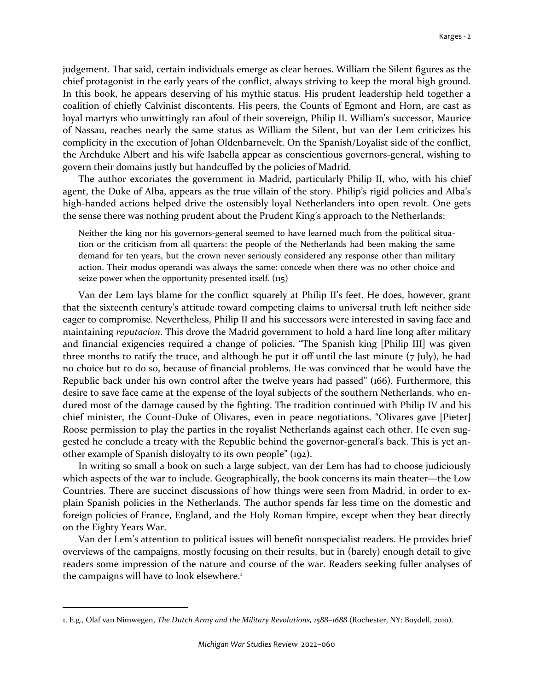judgement. That said, certain individuals emerge as clear heroes. William the Silent figures as the chief protagonist in the early years of the conflict, always striving to keep the moral high ground. In this book, he appears deserving of his mythic status. His prudent leadership held together a coalition of chiefly Calvinist discontents. His peers, the Counts of Egmont and Horn, are cast as loyal martyrs who unwittingly ran afoul of their sovereign, Philip II. William's successor, Maurice of Nassau, reaches nearly the same status as William the Silent, but van der Lem criticizes his complicity in the execution of Johan Oldenbarnevelt. On the Spanish/Loyalist side of the conflict, the Archduke Albert and his wife Isabella appear as conscientious governors-general, wishing to govern their domains justly but handcuffed by the policies of Madrid.

The author excoriates the government in Madrid, particularly Philip II, who, with his chief agent, the Duke of Alba, appears as the true villain of the story. Philip's rigid policies and Alba's high-handed actions helped drive the ostensibly loyal Netherlanders into open revolt. One gets the sense there was nothing prudent about the Prudent King's approach to the Netherlands:

Neither the king nor his governors-general seemed to have learned much from the political situation or the criticism from all quarters: the people of the Netherlands had been making the same demand for ten years, but the crown never seriously considered any response other than military action. Their modus operandi was always the same: concede when there was no other choice and seize power when the opportunity presented itself.  $(115)$ 

Van der Lem lays blame for the conflict squarely at Philip II's feet. He does, however, grant that the sixteenth century's attitude toward competing claims to universal truth left neither side eager to compromise. Nevertheless, Philip II and his successors were interested in saving face and maintaining *reputacíon*. This drove the Madrid government to hold a hard line long after military and financial exigencies required a change of policies. "The Spanish king [Philip III] was given three months to ratify the truce, and although he put it off until the last minute (7 July), he had no choice but to do so, because of financial problems. He was convinced that he would have the Republic back under his own control after the twelve years had passed" (166). Furthermore, this desire to save face came at the expense of the loyal subjects of the southern Netherlands, who endured most of the damage caused by the fighting. The tradition continued with Philip IV and his chief minister, the Count-Duke of Olivares, even in peace negotiations. "Olivares gave [Pieter] Roose permission to play the parties in the royalist Netherlands against each other. He even suggested he conclude a treaty with the Republic behind the governor-general's back. This is yet another example of Spanish disloyalty to its own people" (192).

In writing so small a book on such a large subject, van der Lem has had to choose judiciously which aspects of the war to include. Geographically, the book concerns its main theater—the Low Countries. There are succinct discussions of how things were seen from Madrid, in order to explain Spanish policies in the Netherlands. The author spends far less time on the domestic and foreign policies of France, England, and the Holy Roman Empire, except when they bear directly on the Eighty Years War.

Van der Lem's attention to political issues will benefit nonspecialist readers. He provides brief overviews of the campaigns, mostly focusing on their results, but in (barely) enough detail to give readers some impression of the nature and course of the war. Readers seeking fuller analyses of the campaigns will have to look elsewhere.<sup>1</sup>

<sup>1.</sup> E.g., Olaf van Nimwegen, *The Dutch Army and the Military Revolutions, 1588–1688* (Rochester, NY: Boydell, 2010).